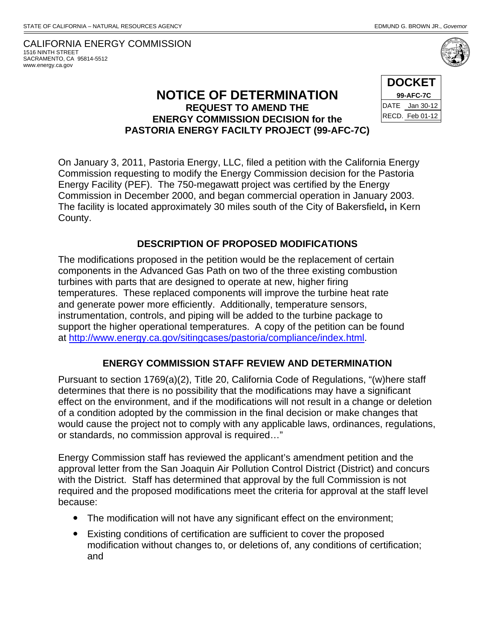## CALIFORNIA ENERGY COMMISSION 1516 NINTH STREET SACRAMENTO, CA 95814-5512 www.energy.ca.gov

## **NOTICE OF DETERMINATION REQUEST TO AMEND THE ENERGY COMMISSION DECISION for the PASTORIA ENERGY FACILTY PROJECT (99-AFC-7C)**

| <b>DOCKET</b> |                 |
|---------------|-----------------|
| 99-AFC-7C     |                 |
|               | DATE Jan 30-12  |
|               | RECD. Feb 01-12 |

On January 3, 2011, Pastoria Energy, LLC, filed a petition with the California Energy Commission requesting to modify the Energy Commission decision for the Pastoria Energy Facility (PEF). The 750-megawatt project was certified by the Energy Commission in December 2000, and began commercial operation in January 2003. The facility is located approximately 30 miles south of the City of Bakersfield**,** in Kern County.

## **DESCRIPTION OF PROPOSED MODIFICATIONS**

The modifications proposed in the petition would be the replacement of certain components in the Advanced Gas Path on two of the three existing combustion turbines with parts that are designed to operate at new, higher firing temperatures. These replaced components will improve the turbine heat rate and generate power more efficiently. Additionally, temperature sensors, instrumentation, controls, and piping will be added to the turbine package to support the higher operational temperatures. A copy of the petition can be found at http://www.energy.ca.gov/sitingcases/pastoria/compliance/index.html.

## **ENERGY COMMISSION STAFF REVIEW AND DETERMINATION**

Pursuant to section 1769(a)(2), Title 20, California Code of Regulations, "(w)here staff determines that there is no possibility that the modifications may have a significant effect on the environment, and if the modifications will not result in a change or deletion of a condition adopted by the commission in the final decision or make changes that would cause the project not to comply with any applicable laws, ordinances, regulations, or standards, no commission approval is required…"

Energy Commission staff has reviewed the applicant's amendment petition and the approval letter from the San Joaquin Air Pollution Control District (District) and concurs with the District. Staff has determined that approval by the full Commission is not required and the proposed modifications meet the criteria for approval at the staff level because:

- The modification will not have any significant effect on the environment;
- Existing conditions of certification are sufficient to cover the proposed modification without changes to, or deletions of, any conditions of certification; and